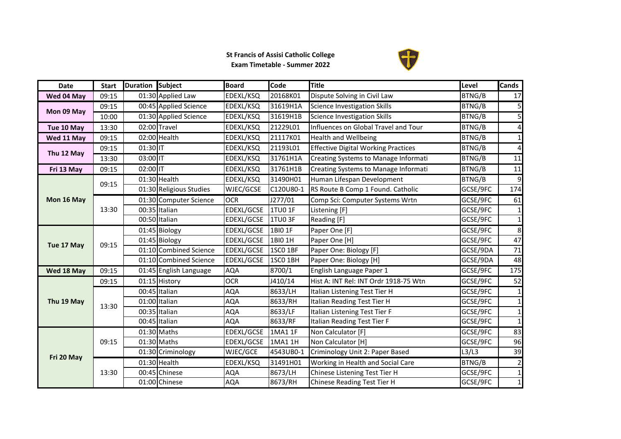## **St Francis of Assisi Catholic College Exam Timetable - Summer 2022**



| <b>Date</b> | <b>Start</b> | Duration Subject |                            | <b>Board</b> | Code           | <b>Title</b>                               | Level         | <b>Cands</b>   |
|-------------|--------------|------------------|----------------------------|--------------|----------------|--------------------------------------------|---------------|----------------|
| Wed 04 May  | 09:15        |                  | 01:30 Applied Law          | EDEXL/KSQ    | 20168K01       | Dispute Solving in Civil Law               | BTNG/B        | 17             |
| Mon 09 May  | 09:15        |                  | 00:45 Applied Science      | EDEXL/KSQ    | 31619H1A       | Science Investigation Skills               | <b>BTNG/B</b> | 5              |
|             | 10:00        |                  | 01:30 Applied Science      | EDEXL/KSQ    | 31619H1B       | <b>Science Investigation Skills</b>        | BTNG/B        | 5              |
| Tue 10 May  | 13:30        |                  | 02:00 Travel               | EDEXL/KSQ    | 21229L01       | Influences on Global Travel and Tour       | BTNG/B        | 4              |
| Wed 11 May  | 09:15        |                  | 02:00 Health               | EDEXL/KSQ    | 21117K01       | <b>Health and Wellbeing</b>                | BTNG/B        | $1\vert$       |
|             | 09:15        | 01:30 IT         |                            | EDEXL/KSQ    | 21193L01       | <b>Effective Digital Working Practices</b> | BTNG/B        | 4              |
| Thu 12 May  | 13:30        | 03:00 IT         |                            | EDEXL/KSQ    | 31761H1A       | Creating Systems to Manage Informati       | BTNG/B        | 11             |
| Fri 13 May  | 09:15        | $02:00$ IT       |                            | EDEXL/KSQ    | 31761H1B       | Creating Systems to Manage Informati       | BTNG/B        | 11             |
|             | 09:15        |                  | 01:30 Health               | EDEXL/KSQ    | 31490H01       | Human Lifespan Development                 | BTNG/B        | 9              |
|             |              |                  | 01:30 Religious Studies    | WJEC/GCSE    | C120U80-1      | RS Route B Comp 1 Found. Catholic          | GCSE/9FC      | 174            |
| Mon 16 May  |              |                  | 01:30 Computer Science     | <b>OCR</b>   | J277/01        | Comp Sci: Computer Systems Wrtn            | GCSE/9FC      | 61             |
|             | 13:30        |                  | 00:35 Italian              | EDEXL/GCSE   | <b>1TU0 1F</b> | Listening [F]                              | GCSE/9FC      | $1\vert$       |
|             |              |                  | 00:50 Italian              | EDEXL/GCSE   | 1TU03F         | Reading [F]                                | GCSE/9FC      | $1\vert$       |
|             | 09:15        |                  | $\overline{01:}45$ Biology | EDEXL/GCSE   | 1BIO 1F        | Paper One [F]                              | GCSE/9FC      | 8              |
| Tue 17 May  |              |                  | 01:45 Biology              | EDEXL/GCSE   | 1BI0 1H        | Paper One [H]                              | GCSE/9FC      | 47             |
|             |              |                  | 01:10 Combined Science     | EDEXL/GCSE   | 1SCO 1BF       | Paper One: Biology [F]                     | GCSE/9DA      | 71             |
|             |              |                  | 01:10 Combined Science     | EDEXL/GCSE   | 1SCO 1BH       | Paper One: Biology [H]                     | GCSE/9DA      | 48             |
| Wed 18 May  | 09:15        |                  | 01:45 English Language     | <b>AQA</b>   | 8700/1         | English Language Paper 1                   | GCSE/9FC      | 175            |
|             | 09:15        |                  | 01:15 History              | <b>OCR</b>   | J410/14        | Hist A: INT Rel: INT Ordr 1918-75 Wtn      | GCSE/9FC      | 52             |
|             |              |                  | 00:45 Italian              | <b>AQA</b>   | 8633/LH        | Italian Listening Test Tier H              | GCSE/9FC      | $1\vert$       |
| Thu 19 May  | 13:30        |                  | 01:00 Italian              | <b>AQA</b>   | 8633/RH        | Italian Reading Test Tier H                | GCSE/9FC      | $1\vert$       |
|             |              |                  | 00:35 Italian              | <b>AQA</b>   | 8633/LF        | Italian Listening Test Tier F              | GCSE/9FC      | $1\vert$       |
|             |              |                  | 00:45 Italian              | <b>AQA</b>   | 8633/RF        | Italian Reading Test Tier F                | GCSE/9FC      | 1 <sup>1</sup> |
|             |              |                  | 01:30 Maths                | EDEXL/GCSE   | 1MA1 1F        | Non Calculator [F]                         | GCSE/9FC      | 83             |
|             | 09:15        |                  | 01:30 Maths                | EDEXL/GCSE   | 1MA1 1H        | Non Calculator [H]                         | GCSE/9FC      | 96             |
| Fri 20 May  |              |                  | 01:30 Criminology          | WJEC/GCE     | 4543UB0-1      | Criminology Unit 2: Paper Based            | L3/L3         | 39             |
|             |              |                  | 01:30 Health               | EDEXL/KSQ    | 31491H01       | Working in Health and Social Care          | BTNG/B        | $\overline{a}$ |
|             | 13:30        |                  | 00:45 Chinese              | <b>AQA</b>   | 8673/LH        | Chinese Listening Test Tier H              | GCSE/9FC      | $1\vert$       |
|             |              |                  | 01:00 Chinese              | <b>AQA</b>   | 8673/RH        | Chinese Reading Test Tier H                | GCSE/9FC      | $1\vert$       |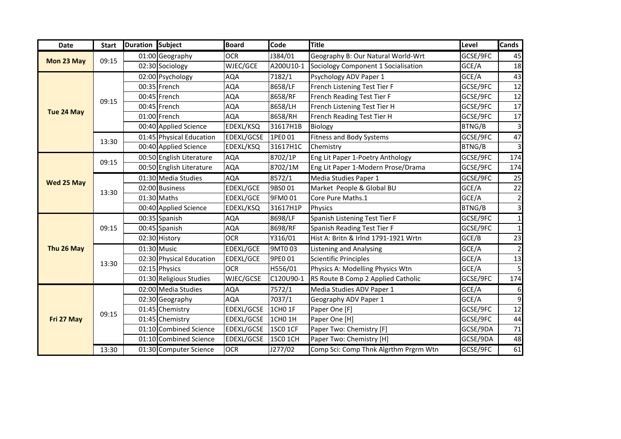| <b>Date</b> | <b>Start</b> | Duration Subject |                              | <b>Board</b>     | Code               | <b>Title</b>                          | Level    | <b>Cands</b> |
|-------------|--------------|------------------|------------------------------|------------------|--------------------|---------------------------------------|----------|--------------|
|             |              |                  | $\overline{01:}00$ Geography | <b>OCR</b>       | J384/01            | Geography B: Our Natural World-Wrt    | GCSE/9FC | 45           |
| Mon 23 May  | 09:15        |                  | 02:30 Sociology              | WJEC/GCE         | A200U10-1          | Sociology Component 1 Socialisation   | GCE/A    | 18           |
|             |              |                  | 02:00 Psychology             | AQA              | 7182/1             | Psychology ADV Paper 1                | GCE/A    | 43           |
|             |              |                  | 00:35 French                 | AQA              | 8658/LF            | French Listening Test Tier F          | GCSE/9FC | 12           |
|             | 09:15        |                  | 00:45 French                 | <b>AQA</b>       | 8658/RF            | French Reading Test Tier F            | GCSE/9FC | 12           |
| Tue 24 May  |              |                  | 00:45 French                 | <b>AQA</b>       | 8658/LH            | French Listening Test Tier H          | GCSE/9FC | 17           |
|             |              |                  | 01:00 French                 | AQA              | 8658/RH            | French Reading Test Tier H            | GCSE/9FC | 17           |
|             |              |                  | 00:40 Applied Science        | EDEXL/KSQ        | 31617H1B           | Biology                               | BTNG/B   | 3            |
|             | 13:30        |                  | 01:45 Physical Education     | EDEXL/GCSE       | 1PE0 01            | <b>Fitness and Body Systems</b>       | GCSE/9FC | 47           |
|             |              |                  | 00:40 Applied Science        | EDEXL/KSQ        | 31617H1C           | Chemistry                             | BTNG/B   |              |
|             | 09:15        |                  | 00:50 English Literature     | <b>AQA</b>       | 8702/1P            | Eng Lit Paper 1-Poetry Anthology      | GCSE/9FC | 174          |
|             |              |                  | 00:50 English Literature     | AQA              | 8702/1M            | Eng Lit Paper 1-Modern Prose/Drama    | GCSE/9FC | 174          |
| Wed 25 May  |              |                  | 01:30 Media Studies          | AQA              | 8572/1             | Media Studies Paper 1                 | GCSE/9FC | 25           |
|             | 13:30        |                  | 02:00 Business               | <b>EDEXL/GCE</b> | 9BS001             | Market People & Global BU             | GCE/A    | 22           |
|             |              |                  | 01:30 Maths                  | EDEXL/GCE        | 9FM001             | Core Pure Maths.1                     | GCE/A    | 2            |
|             |              |                  | 00:40 Applied Science        | EDEXL/KSQ        | 31617H1P           | Physics                               | BTNG/B   | 3            |
|             |              |                  | 00:35 Spanish                | <b>AQA</b>       | 8698/LF            | Spanish Listening Test Tier F         | GCSE/9FC |              |
|             | 09:15        |                  | 00:45 Spanish                | AQA              | 8698/RF            | Spanish Reading Test Tier F           | GCSE/9FC |              |
|             |              |                  | 02:30 History                | <b>OCR</b>       | Y316/01            | Hist A: Britn & Irlnd 1791-1921 Wrtn  | GCE/B    | 23           |
| Thu 26 May  | 13:30        |                  | 01:30 Music                  | EDEXL/GCE        | 9MT003             | <b>Listening and Analysing</b>        | GCE/A    |              |
|             |              |                  | 02:30 Physical Education     | EDEXL/GCE        | 9PE0 01            | <b>Scientific Principles</b>          | GCE/A    | 13           |
|             |              |                  | 02:15 Physics                | <b>OCR</b>       | H556/01            | Physics A: Modelling Physics Wtn      | GCE/A    | 5            |
|             |              |                  | 01:30 Religious Studies      | WJEC/GCSE        | C120U90-1          | RS Route B Comp 2 Applied Catholic    | GCSE/9FC | 174          |
|             |              |                  | 02:00 Media Studies          | <b>AQA</b>       | 7572/1             | Media Studies ADV Paper 1             | GCE/A    | 6            |
|             |              |                  | 02:30 Geography              | <b>AQA</b>       | 7037/1             | Geography ADV Paper 1                 | GCE/A    | 9            |
|             | 09:15        |                  | 01:45 Chemistry              | EDEXL/GCSE       | 1CHO 1F            | Paper One [F]                         | GCSE/9FC | 12           |
| Fri 27 May  |              |                  | 01:45 Chemistry              | EDEXL/GCSE       | 1CHO <sub>1H</sub> | Paper One [H]                         | GCSE/9FC | 44           |
|             |              |                  | 01:10 Combined Science       | EDEXL/GCSE       | 1SCO 1CF           | Paper Two: Chemistry [F]              | GCSE/9DA | 71           |
|             |              |                  | 01:10 Combined Science       | EDEXL/GCSE       | 1SCO 1CH           | Paper Two: Chemistry [H]              | GCSE/9DA | 48           |
|             | 13:30        |                  | 01:30 Computer Science       | <b>OCR</b>       | J277/02            | Comp Sci: Comp Thnk Algrthm Prgrm Wtn | GCSE/9FC | 61           |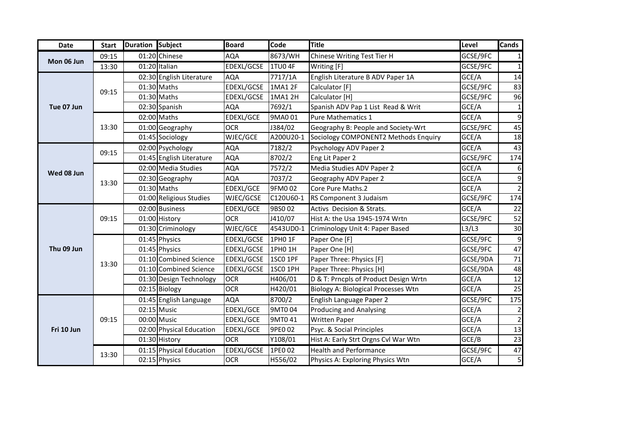| Date       | <b>Start</b> | Duration Subject |                          | <b>Board</b>     | Code      | <b>Title</b>                               | Level    | <b>Cands</b>            |
|------------|--------------|------------------|--------------------------|------------------|-----------|--------------------------------------------|----------|-------------------------|
| Mon 06 Jun | 09:15        |                  | 01:20 Chinese            | AQA              | 8673/WH   | Chinese Writing Test Tier H                | GCSE/9FC |                         |
|            | 13:30        |                  | 01:20 Italian            | EDEXL/GCSE       | 1TU04F    | Writing [F]                                | GCSE/9FC | 1                       |
| Tue 07 Jun |              |                  | 02:30 English Literature | <b>AQA</b>       | 7717/1A   | English Literature B ADV Paper 1A          | GCE/A    | 14                      |
|            | 09:15        |                  | 01:30 Maths              | EDEXL/GCSE       | 1MA1 2F   | Calculator [F]                             | GCSE/9FC | 83                      |
|            |              |                  | 01:30 Maths              | EDEXL/GCSE       | 1MA1 2H   | Calculator [H]                             | GCSE/9FC | 96                      |
|            |              |                  | 02:30 Spanish            | <b>AQA</b>       | 7692/1    | Spanish ADV Pap 1 List Read & Writ         | GCE/A    | $\mathbf{1}$            |
|            |              |                  | 02:00 Maths              | EDEXL/GCE        | 9MA0 01   | <b>Pure Mathematics 1</b>                  | GCE/A    | 9                       |
|            | 13:30        |                  | 01:00 Geography          | <b>OCR</b>       | J384/02   | Geography B: People and Society-Wrt        | GCSE/9FC | 45                      |
|            |              |                  | 01:45 Sociology          | WJEC/GCE         | A200U20-1 | Sociology COMPONENT2 Methods Enquiry       | GCE/A    | 18                      |
|            | 09:15        |                  | 02:00 Psychology         | AQA              | 7182/2    | Psychology ADV Paper 2                     | GCE/A    | 43                      |
|            |              |                  | 01:45 English Literature | <b>AQA</b>       | 8702/2    | Eng Lit Paper 2                            | GCSE/9FC | 174                     |
| Wed 08 Jun |              |                  | 02:00 Media Studies      | AQA              | 7572/2    | Media Studies ADV Paper 2                  | GCE/A    | 6                       |
|            | 13:30        |                  | 02:30 Geography          | AQA              | 7037/2    | Geography ADV Paper 2                      | GCE/A    | 9                       |
|            |              |                  | 01:30 Maths              | <b>EDEXL/GCE</b> | 9FM002    | Core Pure Maths.2                          | GCE/A    | $\overline{2}$          |
|            |              |                  | 01:00 Religious Studies  | WJEC/GCSE        | C120U60-1 | RS Component 3 Judaism                     | GCSE/9FC | 174                     |
|            | 09:15        |                  | 02:00 Business           | EDEXL/GCE        | 9BS002    | Activs Decision & Strats.                  | GCE/A    | 22                      |
|            |              |                  | 01:00 History            | <b>OCR</b>       | J410/07   | Hist A: the Usa 1945-1974 Wrtn             | GCSE/9FC | 52                      |
|            |              |                  | 01:30 Criminology        | WJEC/GCE         | 4543UD0-1 | Criminology Unit 4: Paper Based            | L3/L3    | 30                      |
|            | 13:30        |                  | 01:45 Physics            | EDEXL/GCSE       | 1PH0 1F   | Paper One [F]                              | GCSE/9FC | 9                       |
| Thu 09 Jun |              |                  | 01:45 Physics            | EDEXL/GCSE       | 1PH0 1H   | Paper One [H]                              | GCSE/9FC | 47                      |
|            |              |                  | 01:10 Combined Science   | EDEXL/GCSE       | 1SCO 1PF  | Paper Three: Physics [F]                   | GCSE/9DA | 71                      |
|            |              |                  | 01:10 Combined Science   | EDEXL/GCSE       | 1SCO 1PH  | Paper Three: Physics [H]                   | GCSE/9DA | 48                      |
|            |              |                  | 01:30 Design Technology  | <b>OCR</b>       | H406/01   | D & T: Prncpls of Product Design Wrtn      | GCE/A    | 12                      |
|            |              |                  | 02:15 Biology            | <b>OCR</b>       | H420/01   | <b>Biology A: Biological Processes Wtn</b> | GCE/A    | 25                      |
|            | 09:15        |                  | 01:45 English Language   | <b>AQA</b>       | 8700/2    | English Language Paper 2                   | GCSE/9FC | 175                     |
| Fri 10 Jun |              |                  | $02:15$ Music            | EDEXL/GCE        | 9MT004    | <b>Producing and Analysing</b>             | GCE/A    | $\overline{\mathbf{c}}$ |
|            |              |                  | 00:00 Music              | <b>EDEXL/GCE</b> | 9MT041    | <b>Written Paper</b>                       | GCE/A    | $\overline{2}$          |
|            |              |                  | 02:00 Physical Education | EDEXL/GCE        | 9PE0 02   | Psyc. & Social Principles                  | GCE/A    | 13                      |
|            |              |                  | 01:30 History            | <b>OCR</b>       | Y108/01   | Hist A: Early Strt Orgns Cvl War Wtn       | GCE/B    | $\overline{23}$         |
|            | 13:30        |                  | 01:15 Physical Education | EDEXL/GCSE       | 1PE0 02   | <b>Health and Performance</b>              | GCSE/9FC | 47                      |
|            |              |                  | 02:15 Physics            | <b>OCR</b>       | H556/02   | Physics A: Exploring Physics Wtn           | GCE/A    | 5                       |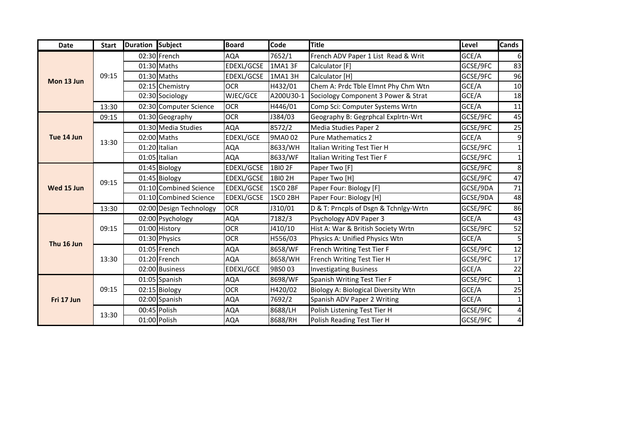| <b>Date</b> | <b>Start</b> | Duration Subject |                         | <b>Board</b> | Code                | <b>Title</b>                          | Level    | <b>Cands</b> |
|-------------|--------------|------------------|-------------------------|--------------|---------------------|---------------------------------------|----------|--------------|
| Mon 13 Jun  |              |                  | 02:30 French            | <b>AQA</b>   | 7652/1              | French ADV Paper 1 List Read & Writ   | GCE/A    | 6            |
|             |              |                  | 01:30 Maths             | EDEXL/GCSE   | 1MA1 3F             | Calculator [F]                        | GCSE/9FC | 83           |
|             | 09:15        |                  | 01:30 Maths             | EDEXL/GCSE   | 1MA1 3H             | Calculator [H]                        | GCSE/9FC | 96           |
|             |              |                  | 02:15 Chemistry         | <b>OCR</b>   | H432/01             | Chem A: Prdc Tble Elmnt Phy Chm Wtn   | GCE/A    | 10           |
|             |              |                  | 02:30 Sociology         | WJEC/GCE     | A200U30-1           | Sociology Component 3 Power & Strat   | GCE/A    | 18           |
|             | 13:30        |                  | 02:30 Computer Science  | <b>OCR</b>   | H446/01             | Comp Sci: Computer Systems Wrtn       | GCE/A    | 11           |
|             | 09:15        |                  | 01:30 Geography         | <b>OCR</b>   | J384/03             | Geography B: Gegrphcal Explrtn-Wrt    | GCSE/9FC | 45           |
|             |              |                  | 01:30 Media Studies     | <b>AQA</b>   | 8572/2              | Media Studies Paper 2                 | GCSE/9FC | 25           |
| Tue 14 Jun  | 13:30        |                  | 02:00 Maths             | EDEXL/GCE    | 9MA0 02             | Pure Mathematics 2                    | GCE/A    | 9            |
|             |              |                  | 01:20 Italian           | <b>AQA</b>   | 8633/WH             | Italian Writing Test Tier H           | GCSE/9FC |              |
|             |              |                  | 01:05 Italian           | <b>AQA</b>   | 8633/WF             | Italian Writing Test Tier F           | GCSE/9FC |              |
|             | 09:15        |                  | 01:45 Biology           | EDEXL/GCSE   | 1BIO 2F             | Paper Two [F]                         | GCSE/9FC | 8            |
|             |              |                  | 01:45 Biology           | EDEXL/GCSE   | 1BIO 2H             | Paper Two [H]                         | GCSE/9FC | 47           |
| Wed 15 Jun  |              |                  | 01:10 Combined Science  | EDEXL/GCSE   | 1SCO 2BF            | Paper Four: Biology [F]               | GCSE/9DA | 71           |
|             |              |                  | 01:10 Combined Science  | EDEXL/GCSE   | 1SCO <sub>2BH</sub> | Paper Four: Biology [H]               | GCSE/9DA | 48           |
|             | 13:30        |                  | 02:00 Design Technology | <b>OCR</b>   | J310/01             | D & T: Prncpls of Dsgn & Tchnlgy-Wrtn | GCSE/9FC | 86           |
|             | 09:15        |                  | 02:00 Psychology        | <b>AQA</b>   | 7182/3              | Psychology ADV Paper 3                | GCE/A    | 43           |
|             |              |                  | 01:00 History           | <b>OCR</b>   | J410/10             | Hist A: War & British Society Wrtn    | GCSE/9FC | 52           |
| Thu 16 Jun  |              |                  | 01:30 Physics           | <b>OCR</b>   | H556/03             | Physics A: Unified Physics Wtn        | GCE/A    | 5            |
|             | 13:30        |                  | $01:05$ French          | <b>AQA</b>   | 8658/WF             | French Writing Test Tier F            | GCSE/9FC | 12           |
|             |              |                  | 01:20 French            | <b>AQA</b>   | 8658/WH             | French Writing Test Tier H            | GCSE/9FC | 17           |
|             |              |                  | 02:00 Business          | EDEXL/GCE    | 9BS003              | <b>Investigating Business</b>         | GCE/A    | 22           |
|             |              |                  | $01:05$ Spanish         | <b>AQA</b>   | 8698/WF             | Spanish Writing Test Tier F           | GCSE/9FC |              |
|             | 09:15        |                  | 02:15 Biology           | <b>OCR</b>   | H420/02             | Biology A: Biological Diversity Wtn   | GCE/A    | 25           |
| Fri 17 Jun  |              |                  | 02:00 Spanish           | <b>AQA</b>   | 7692/2              | Spanish ADV Paper 2 Writing           | GCE/A    |              |
|             | 13:30        |                  | 00:45 Polish            | <b>AQA</b>   | 8688/LH             | Polish Listening Test Tier H          | GCSE/9FC | 4            |
|             |              |                  | 01:00 Polish            | <b>AQA</b>   | 8688/RH             | Polish Reading Test Tier H            | GCSE/9FC | 4            |